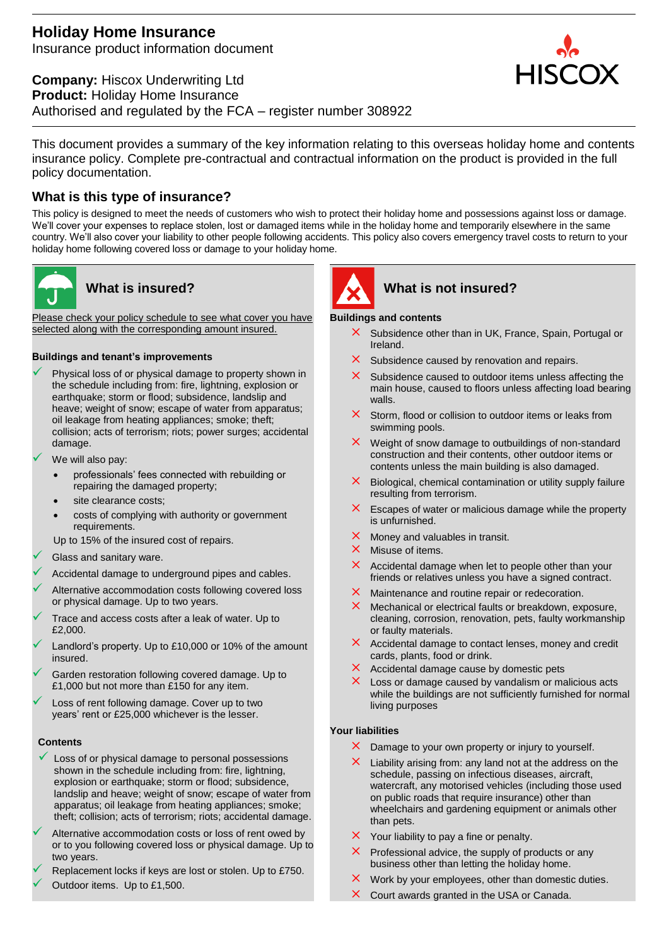# **Holiday Home Insurance**  Insurance product information document

**Company:** Hiscox Underwriting Ltd **Product:** Holiday Home Insurance Authorised and regulated by the FCA – register number 308922

This document provides a summary of the key information relating to this overseas holiday home and contents insurance policy. Complete pre-contractual and contractual information on the product is provided in the full policy documentation.

# **What is this type of insurance?**

This policy is designed to meet the needs of customers who wish to protect their holiday home and possessions against loss or damage. We'll cover your expenses to replace stolen, lost or damaged items while in the holiday home and temporarily elsewhere in the same country. We'll also cover your liability to other people following accidents. This policy also covers emergency travel costs to return to your holiday home following covered loss or damage to your holiday home.



Please check your policy schedule to see what cover you have selected along with the corresponding amount insured.

### **Buildings and tenant's improvements**

- Physical loss of or physical damage to property shown in the schedule including from: fire, lightning, explosion or earthquake; storm or flood; subsidence, landslip and heave; weight of snow; escape of water from apparatus; oil leakage from heating appliances; smoke; theft; collision; acts of terrorism; riots; power surges; accidental damage.
- We will also pay:
	- professionals' fees connected with rebuilding or repairing the damaged property;
	- site clearance costs;
	- costs of complying with authority or government requirements.
	- Up to 15% of the insured cost of repairs.
- Glass and sanitary ware.
- Accidental damage to underground pipes and cables.
- Alternative accommodation costs following covered loss or physical damage. Up to two years.
- Trace and access costs after a leak of water. Up to £2,000.
- Landlord's property. Up to £10,000 or 10% of the amount insured.
- Garden restoration following covered damage. Up to £1,000 but not more than £150 for any item.
- Loss of rent following damage. Cover up to two years' rent or £25,000 whichever is the lesser.

### **Contents**

- Loss of or physical damage to personal possessions shown in the schedule including from: fire, lightning, explosion or earthquake; storm or flood; subsidence, landslip and heave; weight of snow; escape of water from apparatus; oil leakage from heating appliances; smoke; theft; collision; acts of terrorism; riots; accidental damage.
- Alternative accommodation costs or loss of rent owed by or to you following covered loss or physical damage. Up to two years.
- Replacement locks if keys are lost or stolen. Up to £750. Outdoor items. Up to £1,500.



# **What is insured? What is not insured?**

### **Buildings and contents**

- $\times$  Subsidence other than in UK, France, Spain, Portugal or Ireland.
- $\times$  Subsidence caused by renovation and repairs.
- $\times$  Subsidence caused to outdoor items unless affecting the main house, caused to floors unless affecting load bearing walls.
- $\times$  Storm, flood or collision to outdoor items or leaks from swimming pools.
- $\times$  Weight of snow damage to outbuildings of non-standard construction and their contents, other outdoor items or contents unless the main building is also damaged.
- $\times$  Biological, chemical contamination or utility supply failure resulting from terrorism.
- $\times$  Escapes of water or malicious damage while the property is unfurnished.
- $\times$  Money and valuables in transit.
- $\times$  Misuse of items.
- $\times$  Accidental damage when let to people other than your friends or relatives unless you have a signed contract.
- $\times$  Maintenance and routine repair or redecoration.
- $\times$  Mechanical or electrical faults or breakdown, exposure, cleaning, corrosion, renovation, pets, faulty workmanship or faulty materials.
- $\times$  Accidental damage to contact lenses, money and credit cards, plants, food or drink.
- $\times$  Accidental damage cause by domestic pets
- $\times$  Loss or damage caused by vandalism or malicious acts while the buildings are not sufficiently furnished for normal living purposes

### **Your liabilities**

- $\times$  Damage to your own property or injury to yourself.
- $\times$  Liability arising from: any land not at the address on the schedule, passing on infectious diseases, aircraft, watercraft, any motorised vehicles (including those used on public roads that require insurance) other than wheelchairs and gardening equipment or animals other than pets.
- $\times$  Your liability to pay a fine or penalty.
- Professional advice, the supply of products or any business other than letting the holiday home.
- $\times$  Work by your employees, other than domestic duties.
- $\times$  Court awards granted in the USA or Canada.

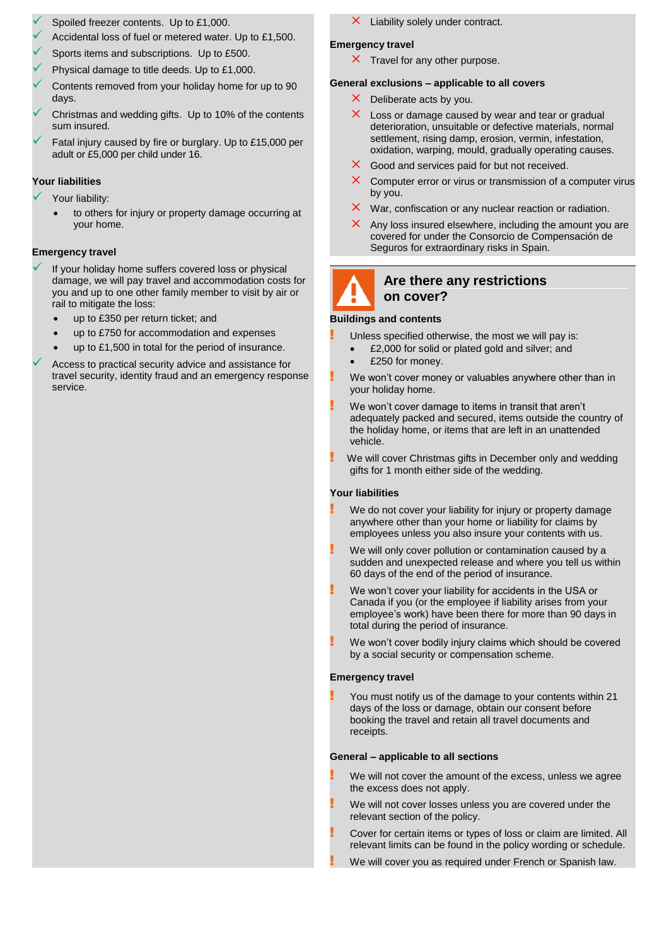- Spoiled freezer contents. Up to £1,000.
- Accidental loss of fuel or metered water. Up to £1,500.
- Sports items and subscriptions. Up to £500.
- Physical damage to title deeds. Up to £1,000.
- Contents removed from your holiday home for up to 90 days.
- Christmas and wedding gifts. Up to 10% of the contents sum insured.
- Fatal injury caused by fire or burglary. Up to £15,000 per adult or £5,000 per child under 16.

### **Your liabilities**

- Your liability:
	- to others for injury or property damage occurring at your home.

# **Emergency travel**

- If your holiday home suffers covered loss or physical damage, we will pay travel and accommodation costs for you and up to one other family member to visit by air or rail to mitigate the loss:
	- up to £350 per return ticket; and
	- up to £750 for accommodation and expenses
	- up to £1,500 in total for the period of insurance.

 Access to practical security advice and assistance for travel security, identity fraud and an emergency response service.

 $\times$  Liability solely under contract.

### **Emergency travel**

 $\times$  Travel for any other purpose.

### **General exclusions – applicable to all covers**

- $\times$  Deliberate acts by you.
- $\times$  Loss or damage caused by wear and tear or gradual deterioration, unsuitable or defective materials, normal settlement, rising damp, erosion, vermin, infestation, oxidation, warping, mould, gradually operating causes.
- $\times$  Good and services paid for but not received.
- $\times$  Computer error or virus or transmission of a computer virus by you.
- $\times$  War, confiscation or any nuclear reaction or radiation.
- Any loss insured elsewhere, including the amount you are covered for under the Consorcio de Compensación de Seguros for extraordinary risks in Spain.



# **Are there any restrictions on cover?**

#### **Buildings and contents**

Unless specified otherwise, the most we will pay is:

- £2,000 for solid or plated gold and silver; and
- £250 for money.
- We won't cover money or valuables anywhere other than in your holiday home.
- We won't cover damage to items in transit that aren't adequately packed and secured, items outside the country of the holiday home, or items that are left in an unattended vehicle.
- We will cover Christmas gifts in December only and wedding gifts for 1 month either side of the wedding.

#### **Your liabilities**

- We do not cover your liability for injury or property damage anywhere other than your home or liability for claims by employees unless you also insure your contents with us.
- We will only cover pollution or contamination caused by a sudden and unexpected release and where you tell us within 60 days of the end of the period of insurance.
- We won't cover your liability for accidents in the USA or Canada if you (or the employee if liability arises from your employee's work) have been there for more than 90 days in total during the period of insurance.
- We won't cover bodily injury claims which should be covered by a social security or compensation scheme.

#### **Emergency travel**

! You must notify us of the damage to your contents within 21 days of the loss or damage, obtain our consent before booking the travel and retain all travel documents and receipts.

#### **General – applicable to all sections**

- We will not cover the amount of the excess, unless we agree the excess does not apply.
- We will not cover losses unless you are covered under the relevant section of the policy.
- ! Cover for certain items or types of loss or claim are limited. All relevant limits can be found in the policy wording or schedule.
- We will cover you as required under French or Spanish law.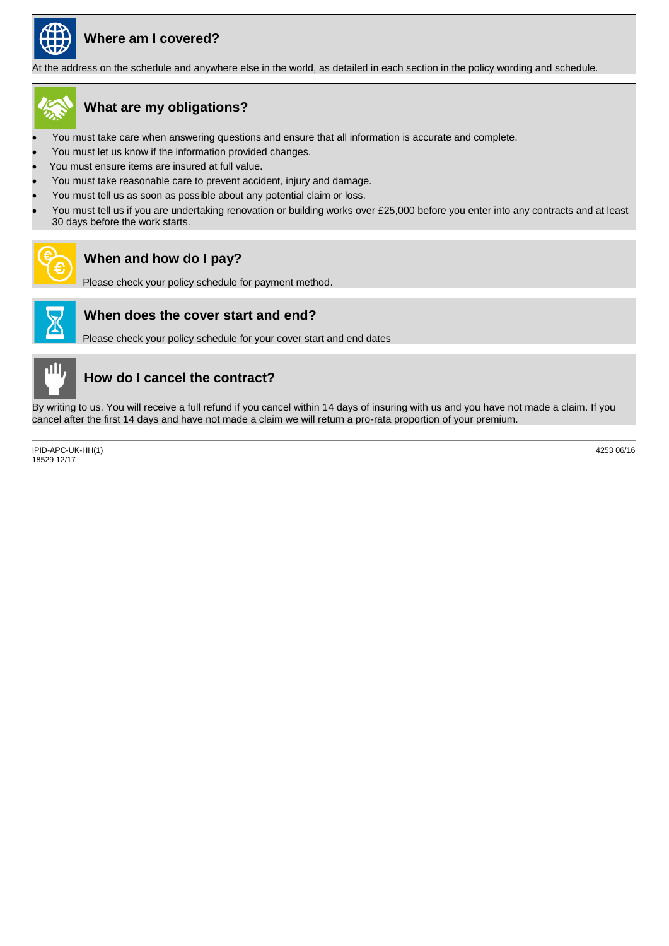

# **Where am I covered?**

At the address on the schedule and anywhere else in the world, as detailed in each section in the policy wording and schedule.



# **What are my obligations?**

- You must take care when answering questions and ensure that all information is accurate and complete.
- You must let us know if the information provided changes.
- You must ensure items are insured at full value.
- You must take reasonable care to prevent accident, injury and damage.
- You must tell us as soon as possible about any potential claim or loss.
- You must tell us if you are undertaking renovation or building works over £25,000 before you enter into any contracts and at least 30 days before the work starts.



# **When and how do I pay?**

Please check your policy schedule for payment method.



# **When does the cover start and end?**

Please check your policy schedule for your cover start and end dates



# **How do I cancel the contract?**

By writing to us. You will receive a full refund if you cancel within 14 days of insuring with us and you have not made a claim. If you cancel after the first 14 days and have not made a claim we will return a pro-rata proportion of your premium.

IPID-APC-UK-HH(1) 18529 12/17

4253 06/16